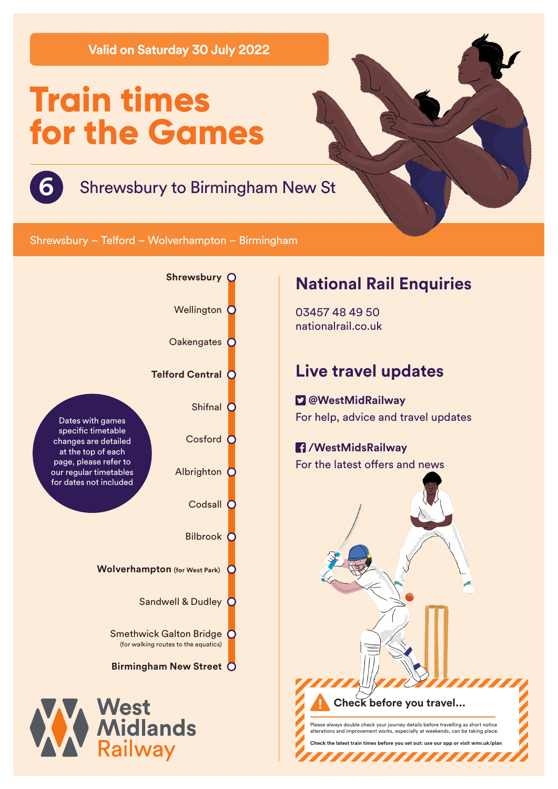**Valid on Saturday 30 July 2022**

# **Train times for the Games**



# **6** Shrewsbury to Birmingham New St

Shrewsbury – Telford – Wolverhampton – Birmingham



## **National Rail Enquiries**

03457 48 49 50 nationalrail.co.uk

## **Live travel updates**

 **@WestMidRailway** For help, advice and travel updates

### **/WestMidsRailway** For the latest offers and news



**Check before you travel...** Please always double check your journey details before travelling as short notice alterations and improvement works, especially at weekends, can be taking place.

**Check the latest train times before you set out: use our app or visit wmr.uk/plan** 

,,,,,,,,,,,,